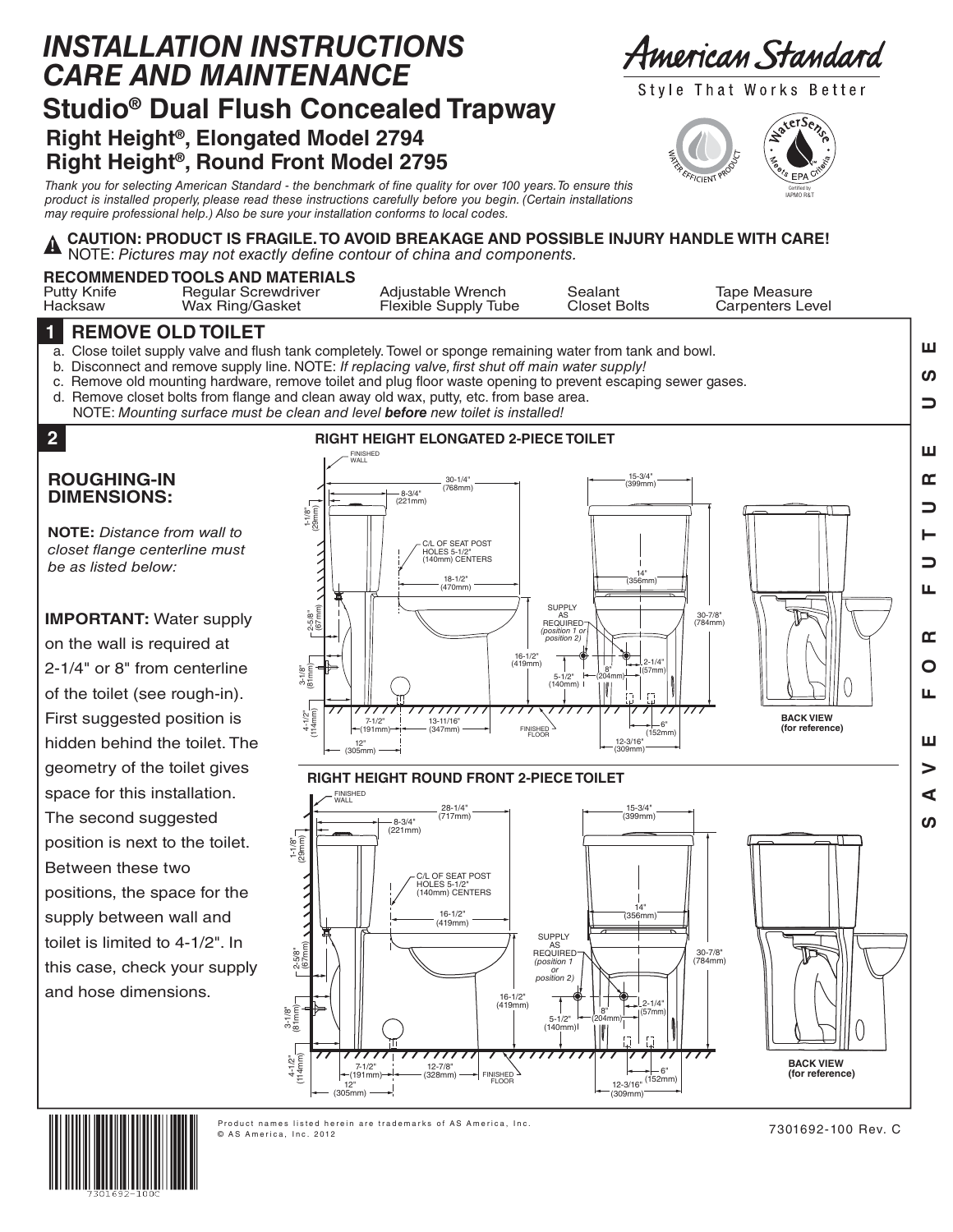## **Right Height®, Elongated Model 2794 Right Height®, Round Front Model 2795 Studio® Dual Flush Concealed Trapway** *INSTALLATION INSTRUCTIONS CARE AND MAINTENANCE*

American Standard

Style That Works Better



*Thank you for selecting American Standard - the benchmark of fine quality for over 100 years. To ensure this product is installed properly, please read these instructions carefully before you begin. (Certain installations may require professional help.) Also be sure your installation conforms to local codes.*

#### **CAUTION: PRODUCT IS FRAGILE. TO AVOID BREAKAGE AND POSSIBLE INJURY HANDLE WITH CARE!** NOTE: *Pictures may not exactly define contour of china and components.* **!**

#### **RECOMMENDED TOOLS AND MATERIALS**

|                        | Wax Ring/Gasket                                                      | Flexible Supply Tube |                                | Carpenters Level |
|------------------------|----------------------------------------------------------------------|----------------------|--------------------------------|------------------|
| Putty Knife<br>Hacksaw | <b>RECOMMENDED TOOLS AND MATERIALS</b><br><b>Regular Screwdriver</b> | Adiustable Wrench    | Sealant<br><b>Closet Bolts</b> | Tape Measure     |

#### **1 REMOVE OLD TOILET**

a. Close toilet supply valve and flush tank completely. Towel or sponge remaining water from tank and bowl.

- b. Disconnect and remove supply line. NOTE: *If replacing valve, first shut off main water supply!*
- c. Remove old mounting hardware, remove toilet and plug floor waste opening to prevent escaping sewer gases.
- d. Remove closet bolts from flange and clean away old wax, putty, etc. from base area.
- NOTE: *Mounting surface must be clean and level before new toilet is installed!*

# **2**

#### **ROUGHING-IN DIMENSIONS:**

**NOTE:** *Distance from wall to closet flange centerline must be as listed below:*

### **IMPORTANT:** Water supply

on the wall is required at 2-1/4" or 8" from centerline of the toilet (see rough-in). First suggested position is hidden behind the toilet. The geometry of the toilet gives space for this installation. The second suggested position is next to the toilet. Between these two positions, the space for the supply between wall and toilet is limited to 4-1/2". In this case, check your supply and hose dimensions.







7301692-100 Rev. C

ш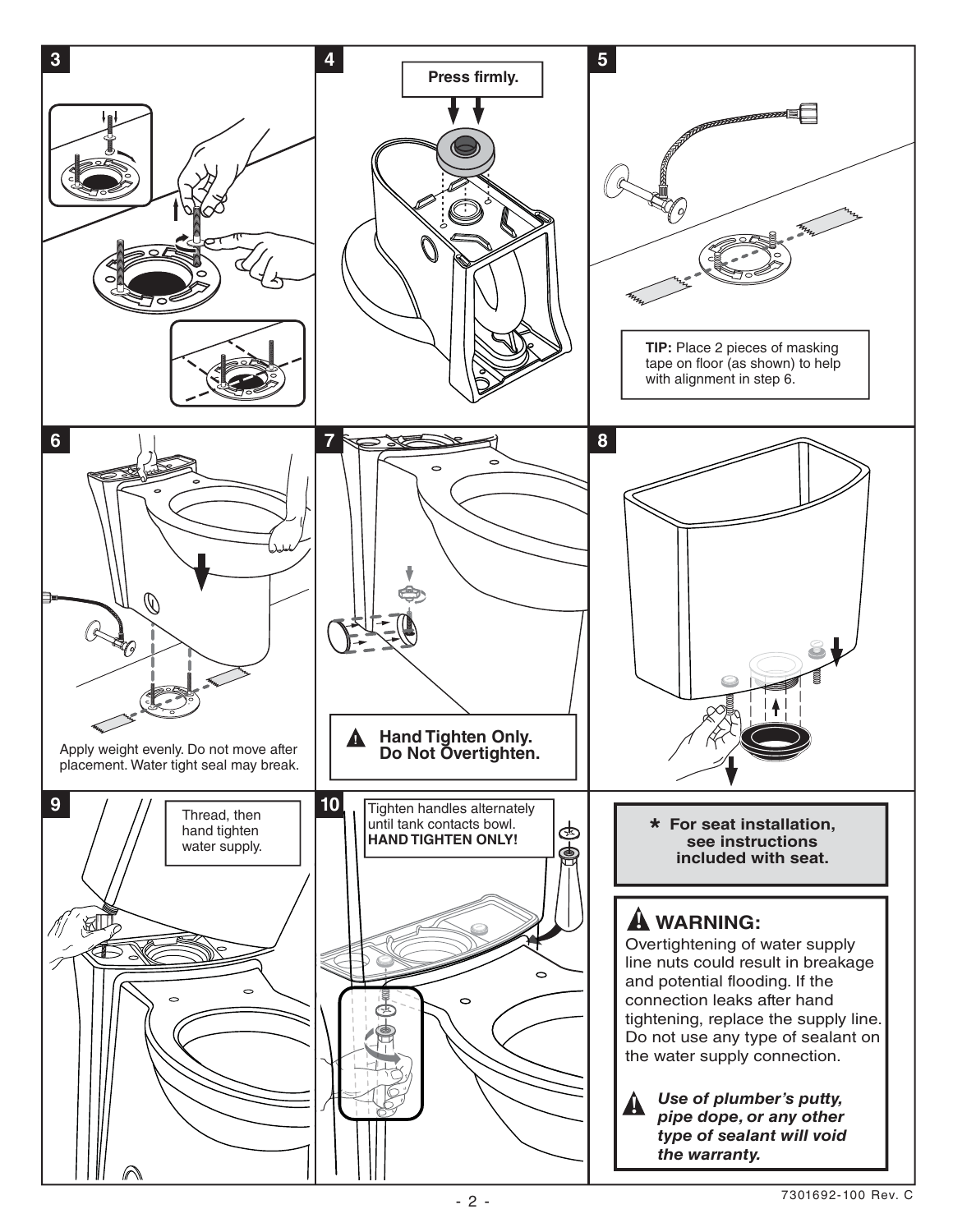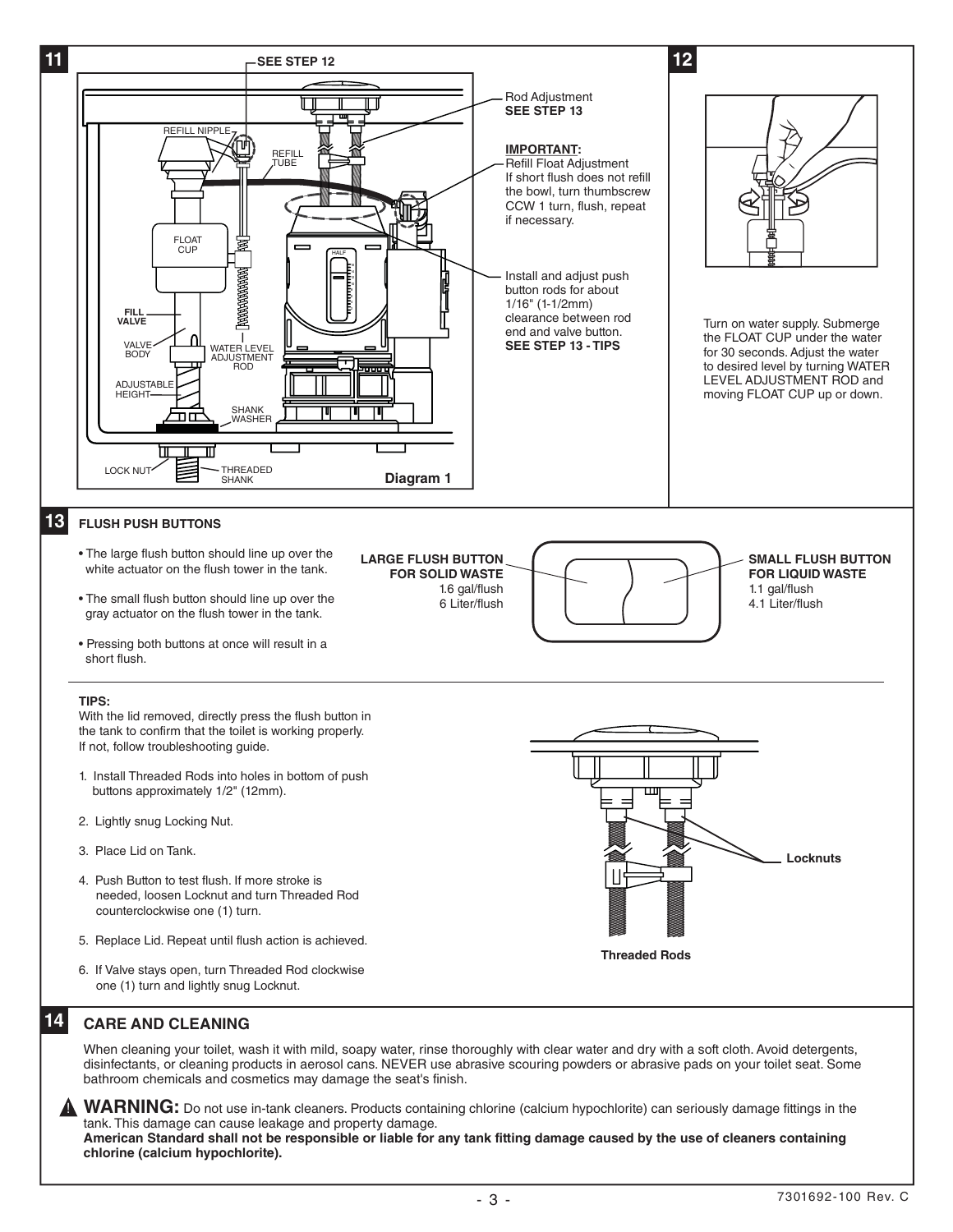

#### **CARE AND CLEANING**

When cleaning your toilet, wash it with mild, soapy water, rinse thoroughly with clear water and dry with a soft cloth. Avoid detergents, disinfectants, or cleaning products in aerosol cans. NEVER use abrasive scouring powders or abrasive pads on your toilet seat. Some bathroom chemicals and cosmetics may damage the seat's finish.

**WARNING:** Do not use in-tank cleaners. Products containing chlorine (calcium hypochlorite) can seriously damage fittings in the tank. This damage can cause leakage and property damage. **American Standard shall not be responsible or liable for any tank fitting damage caused by the use of cleaners containing chlorine (calcium hypochlorite).**